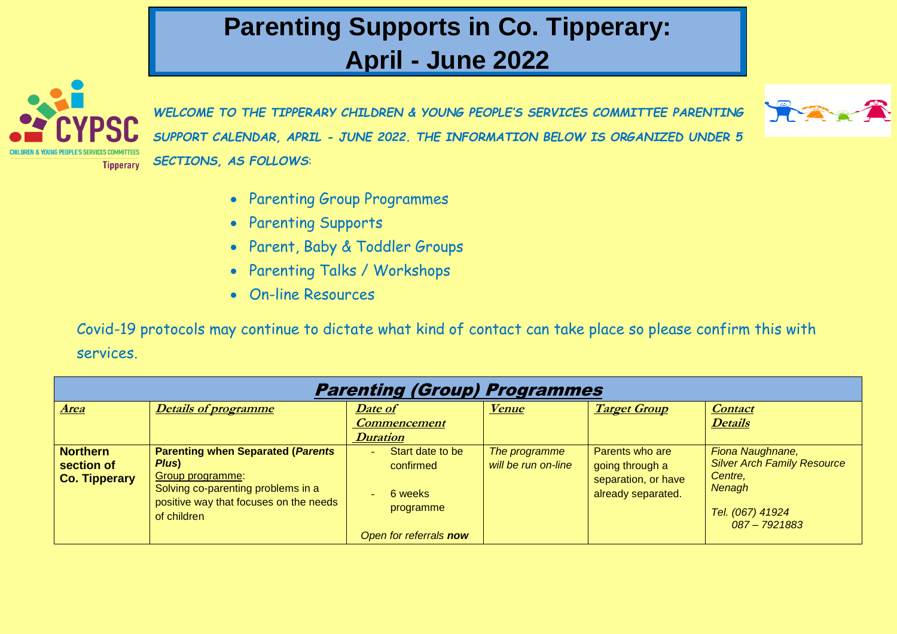## **Parenting Supports in Co. Tipperary: April - June 2022**



*WELCOME TO THE TIPPERARY CHILDREN & YOUNG PEOPLE'S SERVICES COMMITTEE PARENTING SUPPORT CALENDAR, APRIL - JUNE 2022. THE INFORMATION BELOW IS ORGANIZED UNDER 5 SECTIONS, AS FOLLOWS*:



- Parenting Group Programmes
- Parenting Supports
- Parent, Baby & Toddler Groups
- Parenting Talks / Workshops
- On-line Resources

Covid-19 protocols may continue to dictate what kind of contact can take place so please confirm this with services.

| <b>Parenting (Group) Programmes</b>                   |                                                                                                                                                                      |                                                                                                                  |                                      |                                                                                 |                                                                                                                |  |  |  |
|-------------------------------------------------------|----------------------------------------------------------------------------------------------------------------------------------------------------------------------|------------------------------------------------------------------------------------------------------------------|--------------------------------------|---------------------------------------------------------------------------------|----------------------------------------------------------------------------------------------------------------|--|--|--|
| <b>Area</b>                                           | <b>Details of programme</b>                                                                                                                                          | Date of<br><b>Commencement</b><br><b>Duration</b>                                                                | <u>Venue</u>                         | <b>Target Group</b>                                                             | <b>Contact</b><br><b>Details</b>                                                                               |  |  |  |
| <b>Northern</b><br>section of<br><b>Co. Tipperary</b> | <b>Parenting when Separated (Parents</b><br>Plus)<br>Group programme:<br>Solving co-parenting problems in a<br>positive way that focuses on the needs<br>of children | Start date to be<br>٠<br>confirmed<br>6 weeks<br>$\overline{\phantom{a}}$<br>programme<br>Open for referrals now | The programme<br>will be run on-line | Parents who are<br>going through a<br>separation, or have<br>already separated. | Fiona Naughnane,<br><b>Silver Arch Family Resource</b><br>Centre,<br>Nenagh<br>Tel. (067) 41924<br>087-7921883 |  |  |  |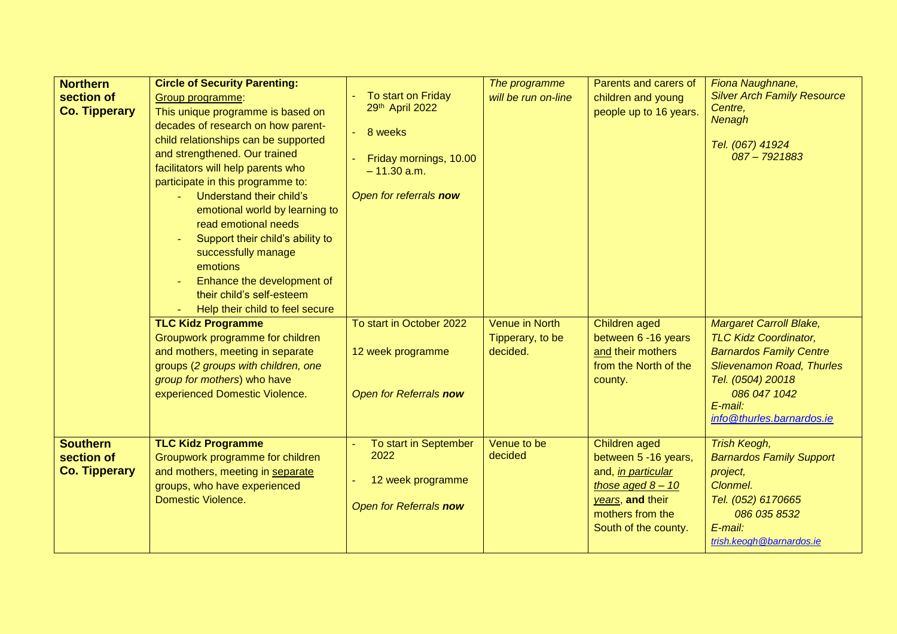| <b>Northern</b><br>section of<br><b>Co. Tipperary</b> | <b>Circle of Security Parenting:</b><br>Group programme:<br>This unique programme is based on<br>decades of research on how parent-<br>child relationships can be supported<br>and strengthened. Our trained<br>facilitators will help parents who<br>participate in this programme to:<br>Understand their child's<br>emotional world by learning to<br>read emotional needs<br>Support their child's ability to<br>successfully manage<br>emotions<br>Enhance the development of<br>their child's self-esteem<br>Help their child to feel secure | To start on Friday<br>29th April 2022<br>8 weeks<br>Friday mornings, 10.00<br>$-11.30$ a.m.<br>Open for referrals now | The programme<br>will be run on-line                  | Parents and carers of<br>children and young<br>people up to 16 years.                                                                                     | Fiona Naughnane,<br><b>Silver Arch Family Resource</b><br>Centre.<br>Nenagh<br>Tel. (067) 41924<br>087-7921883                                                                                                    |
|-------------------------------------------------------|----------------------------------------------------------------------------------------------------------------------------------------------------------------------------------------------------------------------------------------------------------------------------------------------------------------------------------------------------------------------------------------------------------------------------------------------------------------------------------------------------------------------------------------------------|-----------------------------------------------------------------------------------------------------------------------|-------------------------------------------------------|-----------------------------------------------------------------------------------------------------------------------------------------------------------|-------------------------------------------------------------------------------------------------------------------------------------------------------------------------------------------------------------------|
|                                                       | <b>TLC Kidz Programme</b><br>Groupwork programme for children<br>and mothers, meeting in separate<br>groups (2 groups with children, one<br>group for mothers) who have<br>experienced Domestic Violence.                                                                                                                                                                                                                                                                                                                                          | To start in October 2022<br>12 week programme<br>Open for Referrals now                                               | <b>Venue in North</b><br>Tipperary, to be<br>decided. | Children aged<br>between 6 -16 years<br>and their mothers<br>from the North of the<br>county.                                                             | <b>Margaret Carroll Blake,</b><br><b>TLC Kidz Coordinator,</b><br><b>Barnardos Family Centre</b><br><b>Slievenamon Road, Thurles</b><br>Tel. (0504) 20018<br>086 047 1042<br>E-mail:<br>info@thurles.barnardos.ie |
| <b>Southern</b><br>section of<br><b>Co. Tipperary</b> | <b>TLC Kidz Programme</b><br>Groupwork programme for children<br>and mothers, meeting in separate<br>groups, who have experienced<br><b>Domestic Violence.</b>                                                                                                                                                                                                                                                                                                                                                                                     | To start in September<br>2022<br>12 week programme<br>Open for Referrals now                                          | Venue to be<br>decided                                | Children aged<br>between 5 -16 years,<br>and, <i>in particular</i><br>those aged $8 - 10$<br>years, and their<br>mothers from the<br>South of the county. | <b>Trish Keogh,</b><br><b>Barnardos Family Support</b><br>project,<br>Clonmel.<br>Tel. (052) 6170665<br>086 035 8532<br>E-mail:<br>trish.keogh@barnardos.ie                                                       |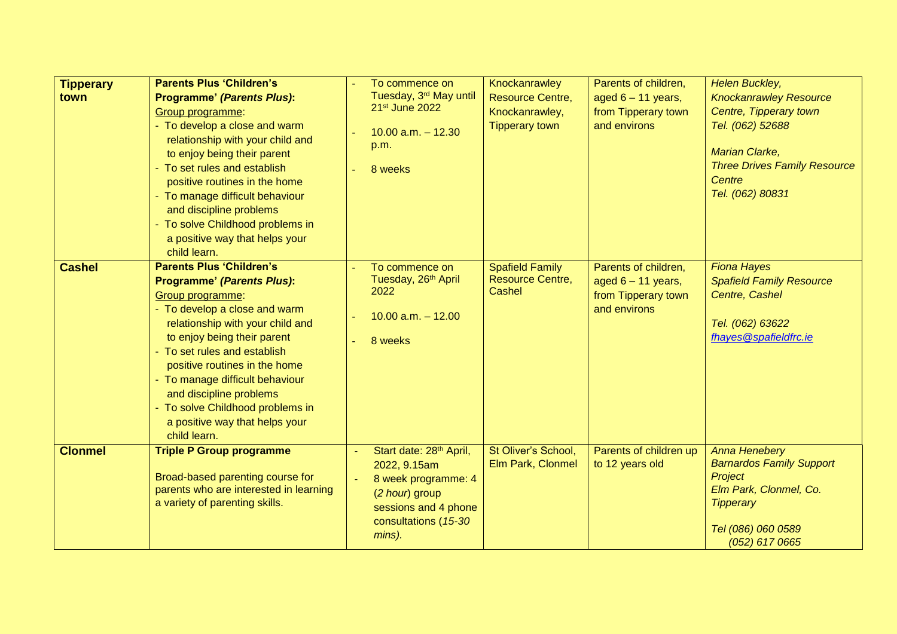| <b>Tipperary</b><br>town | <b>Parents Plus 'Children's</b><br><b>Programme' (Parents Plus):</b><br>Group programme:<br>- To develop a close and warm<br>relationship with your child and<br>to enjoy being their parent<br>- To set rules and establish<br>positive routines in the home<br>- To manage difficult behaviour<br>and discipline problems<br>- To solve Childhood problems in<br>a positive way that helps your<br>child learn. | To commence on<br>Tuesday, 3rd May until<br>21 <sup>st</sup> June 2022<br>$10.00$ a.m. $- 12.30$<br>p.m.<br>8 weeks                                    | Knockanrawley<br><b>Resource Centre,</b><br>Knockanrawley,<br><b>Tipperary town</b> | Parents of children,<br>aged $6 - 11$ years,<br>from Tipperary town<br>and environs | <b>Helen Buckley,</b><br><b>Knockanrawley Resource</b><br>Centre, Tipperary town<br>Tel. (062) 52688<br><b>Marian Clarke,</b><br><b>Three Drives Family Resource</b><br>Centre<br>Tel. (062) 80831 |
|--------------------------|-------------------------------------------------------------------------------------------------------------------------------------------------------------------------------------------------------------------------------------------------------------------------------------------------------------------------------------------------------------------------------------------------------------------|--------------------------------------------------------------------------------------------------------------------------------------------------------|-------------------------------------------------------------------------------------|-------------------------------------------------------------------------------------|----------------------------------------------------------------------------------------------------------------------------------------------------------------------------------------------------|
| <b>Cashel</b>            | <b>Parents Plus 'Children's</b><br><b>Programme' (Parents Plus):</b><br>Group programme:<br>- To develop a close and warm<br>relationship with your child and<br>to enjoy being their parent<br>- To set rules and establish<br>positive routines in the home<br>- To manage difficult behaviour<br>and discipline problems<br>- To solve Childhood problems in<br>a positive way that helps your<br>child learn. | To commence on<br>Tuesday, 26th April<br>2022<br>$10.00$ a.m. $-12.00$<br>8 weeks                                                                      | <b>Spafield Family</b><br><b>Resource Centre,</b><br>Cashel                         | Parents of children,<br>aged $6 - 11$ years,<br>from Tipperary town<br>and environs | <b>Fiona Hayes</b><br><b>Spafield Family Resource</b><br>Centre, Cashel<br>Tel. (062) 63622<br>fhayes@spafieldfrc.ie                                                                               |
| <b>Clonmel</b>           | <b>Triple P Group programme</b><br>Broad-based parenting course for<br>parents who are interested in learning<br>a variety of parenting skills.                                                                                                                                                                                                                                                                   | Start date: 28 <sup>th</sup> April,<br>2022, 9.15am<br>8 week programme: 4<br>(2 hour) group<br>sessions and 4 phone<br>consultations (15-30<br>mins). | St Oliver's School,<br>Elm Park, Clonmel                                            | Parents of children up<br>to 12 years old                                           | <b>Anna Henebery</b><br><b>Barnardos Family Support</b><br>Project<br>Elm Park, Clonmel, Co.<br><b>Tipperary</b><br>Tel (086) 060 0589<br>$(052)$ 617 0665                                         |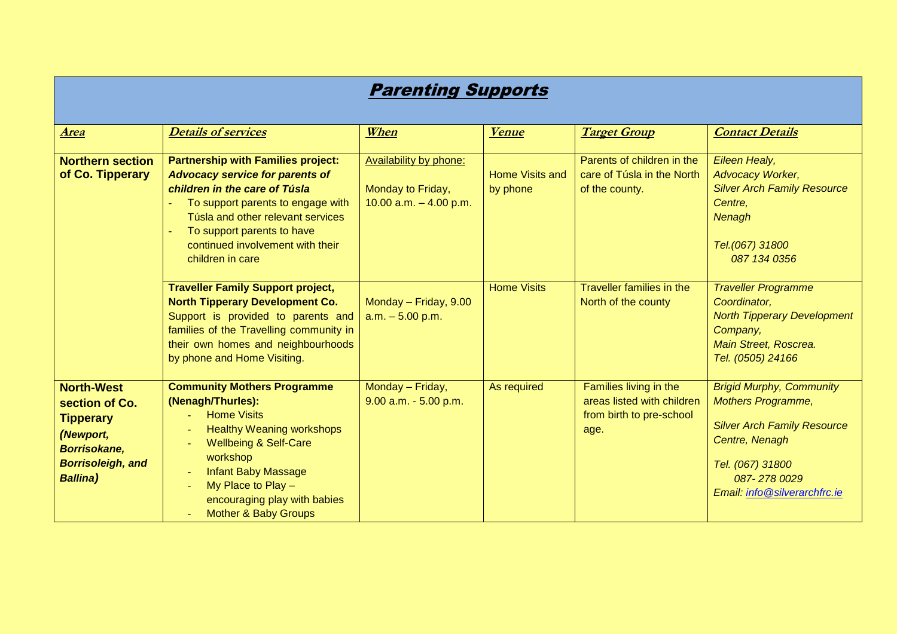| <b>Parenting Supports</b>                                                                                                                  |                                                                                                                                                                                                                                                                                                                |                                                                         |                                    |                                                                                          |                                                                                                                                                                                         |  |  |  |
|--------------------------------------------------------------------------------------------------------------------------------------------|----------------------------------------------------------------------------------------------------------------------------------------------------------------------------------------------------------------------------------------------------------------------------------------------------------------|-------------------------------------------------------------------------|------------------------------------|------------------------------------------------------------------------------------------|-----------------------------------------------------------------------------------------------------------------------------------------------------------------------------------------|--|--|--|
| <b>Area</b>                                                                                                                                | <b>Details of services</b>                                                                                                                                                                                                                                                                                     | When                                                                    | <b>Venue</b>                       | <b>Target Group</b>                                                                      | <b>Contact Details</b>                                                                                                                                                                  |  |  |  |
| <b>Northern section</b><br>of Co. Tipperary                                                                                                | <b>Partnership with Families project:</b><br><b>Advocacy service for parents of</b><br>children in the care of Túsla<br>To support parents to engage with<br>Túsla and other relevant services<br>To support parents to have<br>continued involvement with their<br>children in care                           | Availability by phone:<br>Monday to Friday,<br>10.00 $a.m. - 4.00 p.m.$ | <b>Home Visits and</b><br>by phone | Parents of children in the<br>care of Túsla in the North<br>of the county.               | Eileen Healy,<br>Advocacy Worker,<br><b>Silver Arch Family Resource</b><br>Centre.<br>Nenagh<br>Tel.(067) 31800<br>087 134 0356                                                         |  |  |  |
|                                                                                                                                            | <b>Traveller Family Support project,</b><br><b>North Tipperary Development Co.</b><br>Support is provided to parents and<br>families of the Travelling community in<br>their own homes and neighbourhoods<br>by phone and Home Visiting.                                                                       | Monday - Friday, 9.00<br>$a.m. - 5.00 p.m.$                             | <b>Home Visits</b>                 | Traveller families in the<br>North of the county                                         | <b>Traveller Programme</b><br>Coordinator,<br><b>North Tipperary Development</b><br>Company,<br>Main Street, Roscrea.<br>Tel. (0505) 24166                                              |  |  |  |
| <b>North-West</b><br>section of Co.<br><b>Tipperary</b><br>(Newport,<br><b>Borrisokane,</b><br><b>Borrisoleigh, and</b><br><b>Ballina)</b> | <b>Community Mothers Programme</b><br>(Nenagh/Thurles):<br><b>Home Visits</b><br><b>Healthy Weaning workshops</b><br><b>Wellbeing &amp; Self-Care</b><br>workshop<br><b>Infant Baby Massage</b><br>$\sim$<br>My Place to Play -<br>$\equiv$<br>encouraging play with babies<br><b>Mother &amp; Baby Groups</b> | Monday - Friday,<br>$9.00$ a.m. $-5.00$ p.m.                            | As required                        | Families living in the<br>areas listed with children<br>from birth to pre-school<br>age. | <b>Brigid Murphy, Community</b><br><b>Mothers Programme,</b><br><b>Silver Arch Family Resource</b><br>Centre, Nenagh<br>Tel. (067) 31800<br>087-2780029<br>Email: info@silverarchfrc.ie |  |  |  |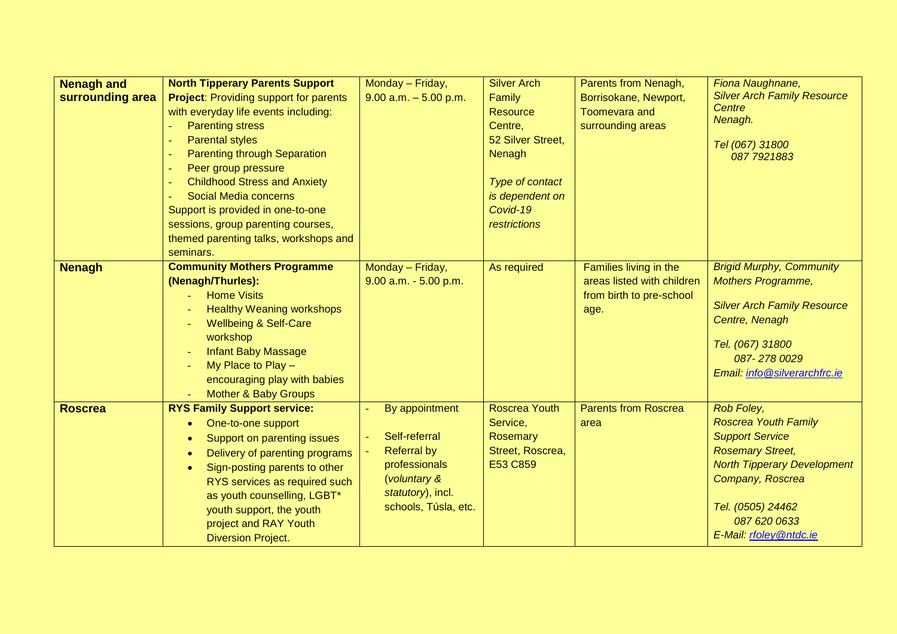| <b>Nenagh and</b> | <b>North Tipperary Parents Support</b>        | Monday - Friday,         | <b>Silver Arch</b>   | Parents from Nenagh,        | Fiona Naughnane,                   |
|-------------------|-----------------------------------------------|--------------------------|----------------------|-----------------------------|------------------------------------|
| surrounding area  | <b>Project: Providing support for parents</b> | $9.00$ a.m. $-5.00$ p.m. | Family               | Borrisokane, Newport,       | <b>Silver Arch Family Resource</b> |
|                   | with everyday life events including:          |                          | <b>Resource</b>      | <b>Toomevara and</b>        | Centre                             |
|                   | <b>Parenting stress</b>                       |                          | Centre,              | surrounding areas           | Nenagh.                            |
|                   | <b>Parental styles</b>                        |                          | 52 Silver Street,    |                             | Tel (067) 31800                    |
|                   | <b>Parenting through Separation</b>           |                          | Nenagh               |                             | 087 792 1883                       |
|                   | Peer group pressure                           |                          |                      |                             |                                    |
|                   | <b>Childhood Stress and Anxiety</b>           |                          | Type of contact      |                             |                                    |
|                   | Social Media concerns                         |                          | is dependent on      |                             |                                    |
|                   | Support is provided in one-to-one             |                          | Covid-19             |                             |                                    |
|                   | sessions, group parenting courses,            |                          | restrictions         |                             |                                    |
|                   | themed parenting talks, workshops and         |                          |                      |                             |                                    |
|                   | seminars.                                     |                          |                      |                             |                                    |
| <b>Nenagh</b>     | <b>Community Mothers Programme</b>            | Monday - Friday,         | As required          | Families living in the      | <b>Brigid Murphy, Community</b>    |
|                   | (Nenagh/Thurles):                             | $9.00$ a.m. $-5.00$ p.m. |                      | areas listed with children  | <b>Mothers Programme,</b>          |
|                   | <b>Home Visits</b>                            |                          |                      | from birth to pre-school    |                                    |
|                   | <b>Healthy Weaning workshops</b>              |                          |                      | age.                        | <b>Silver Arch Family Resource</b> |
|                   | <b>Wellbeing &amp; Self-Care</b>              |                          |                      |                             | Centre, Nenagh                     |
|                   | workshop                                      |                          |                      |                             | Tel. (067) 31800                   |
|                   | <b>Infant Baby Massage</b>                    |                          |                      |                             | 087-2780029                        |
|                   | My Place to Play -                            |                          |                      |                             | Email: info@silverarchfrc.ie       |
|                   | encouraging play with babies                  |                          |                      |                             |                                    |
|                   | <b>Mother &amp; Baby Groups</b>               |                          |                      |                             |                                    |
| <b>Roscrea</b>    | <b>RYS Family Support service:</b>            | By appointment           | <b>Roscrea Youth</b> | <b>Parents from Roscrea</b> | Rob Foley,                         |
|                   | One-to-one support<br>$\bullet$               |                          | Service,             | area                        | <b>Roscrea Youth Family</b>        |
|                   | Support on parenting issues<br>$\bullet$      | Self-referral            | <b>Rosemary</b>      |                             | <b>Support Service</b>             |
|                   | Delivery of parenting programs<br>$\bullet$   | <b>Referral by</b>       | Street, Roscrea,     |                             | <b>Rosemary Street,</b>            |
|                   | Sign-posting parents to other<br>$\bullet$    | professionals            | E53 C859             |                             | <b>North Tipperary Development</b> |
|                   | RYS services as required such                 | (voluntary &             |                      |                             | Company, Roscrea                   |
|                   | as youth counselling, LGBT*                   | statutory), incl.        |                      |                             |                                    |
|                   | youth support, the youth                      | schools, Túsla, etc.     |                      |                             | Tel. (0505) 24462                  |
|                   | project and RAY Youth                         |                          |                      |                             | 087 620 0633                       |
|                   | <b>Diversion Project.</b>                     |                          |                      |                             | E-Mail: rfoley @ntdc.ie            |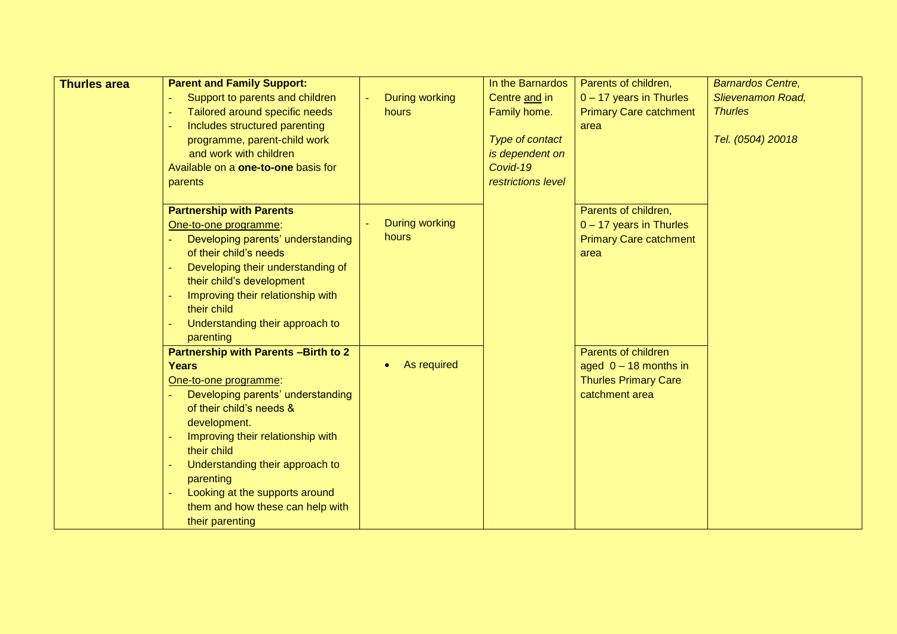| <b>Thurles area</b> | <b>Parent and Family Support:</b>           |                       | In the Barnardos   | Parents of children,          | <b>Barnardos Centre,</b> |
|---------------------|---------------------------------------------|-----------------------|--------------------|-------------------------------|--------------------------|
|                     | Support to parents and children             | <b>During working</b> | Centre and in      | $0 - 17$ years in Thurles     | <b>Slievenamon Road,</b> |
|                     | Tailored around specific needs              | hours                 | Family home.       | <b>Primary Care catchment</b> | <b>Thurles</b>           |
|                     | Includes structured parenting               |                       |                    | area                          |                          |
|                     | programme, parent-child work                |                       | Type of contact    |                               | Tel. (0504) 20018        |
|                     | and work with children                      |                       | is dependent on    |                               |                          |
|                     | Available on a one-to-one basis for         |                       | Covid-19           |                               |                          |
|                     | parents                                     |                       | restrictions level |                               |                          |
|                     |                                             |                       |                    |                               |                          |
|                     | <b>Partnership with Parents</b>             |                       |                    | Parents of children,          |                          |
|                     | One-to-one programme:                       | <b>During working</b> |                    | $0 - 17$ years in Thurles     |                          |
|                     | Developing parents' understanding           | hours                 |                    | <b>Primary Care catchment</b> |                          |
|                     | of their child's needs                      |                       |                    | area                          |                          |
|                     | Developing their understanding of           |                       |                    |                               |                          |
|                     | their child's development                   |                       |                    |                               |                          |
|                     | Improving their relationship with           |                       |                    |                               |                          |
|                     | their child                                 |                       |                    |                               |                          |
|                     | Understanding their approach to             |                       |                    |                               |                          |
|                     | parenting                                   |                       |                    |                               |                          |
|                     | <b>Partnership with Parents -Birth to 2</b> |                       |                    | Parents of children           |                          |
|                     | <b>Years</b>                                | As required           |                    | aged $0 - 18$ months in       |                          |
|                     | One-to-one programme:                       |                       |                    | <b>Thurles Primary Care</b>   |                          |
|                     | Developing parents' understanding           |                       |                    | catchment area                |                          |
|                     | of their child's needs &                    |                       |                    |                               |                          |
|                     | development.                                |                       |                    |                               |                          |
|                     | Improving their relationship with           |                       |                    |                               |                          |
|                     | their child                                 |                       |                    |                               |                          |
|                     | Understanding their approach to             |                       |                    |                               |                          |
|                     | parenting                                   |                       |                    |                               |                          |
|                     | Looking at the supports around              |                       |                    |                               |                          |
|                     | them and how these can help with            |                       |                    |                               |                          |
|                     | their parenting                             |                       |                    |                               |                          |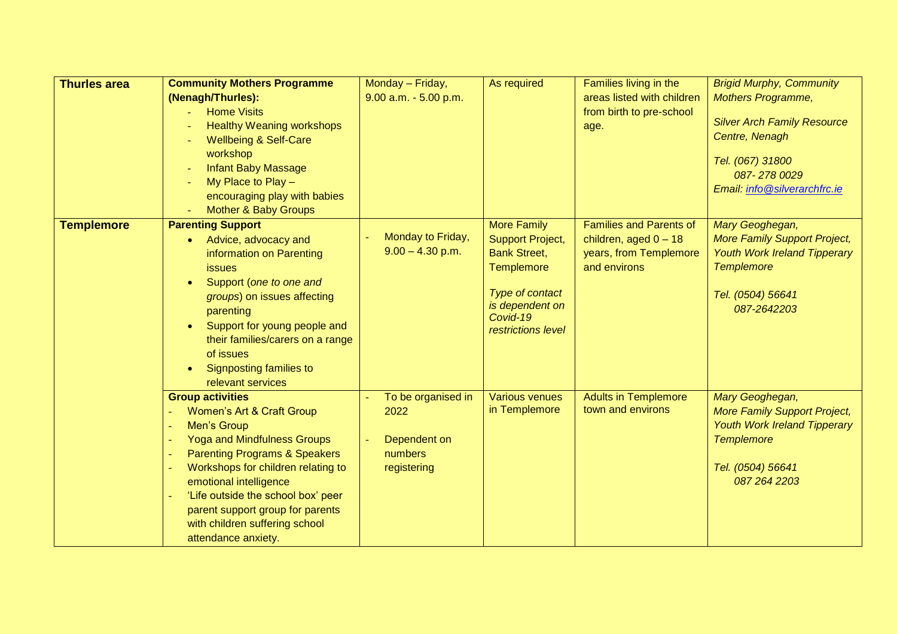| <b>Thurles area</b> | <b>Community Mothers Programme</b>                                            | Monday - Friday,                        | As required             | Families living in the         | <b>Brigid Murphy, Community</b>     |
|---------------------|-------------------------------------------------------------------------------|-----------------------------------------|-------------------------|--------------------------------|-------------------------------------|
|                     | (Nenagh/Thurles):                                                             | $9.00$ a.m. $-5.00$ p.m.                |                         | areas listed with children     | <b>Mothers Programme,</b>           |
|                     | <b>Home Visits</b>                                                            |                                         |                         | from birth to pre-school       |                                     |
|                     | <b>Healthy Weaning workshops</b>                                              |                                         |                         | age.                           | <b>Silver Arch Family Resource</b>  |
|                     | <b>Wellbeing &amp; Self-Care</b>                                              |                                         |                         |                                | Centre, Nenagh                      |
|                     | workshop                                                                      |                                         |                         |                                | Tel. (067) 31800                    |
|                     | <b>Infant Baby Massage</b>                                                    |                                         |                         |                                | 087-2780029                         |
|                     | My Place to Play -                                                            |                                         |                         |                                | Email: info@silverarchfrc.ie        |
|                     | encouraging play with babies                                                  |                                         |                         |                                |                                     |
|                     | <b>Mother &amp; Baby Groups</b>                                               |                                         |                         |                                |                                     |
| <b>Templemore</b>   | <b>Parenting Support</b>                                                      |                                         | <b>More Family</b>      | <b>Families and Parents of</b> | Mary Geoghegan,                     |
|                     | Advice, advocacy and<br>$\bullet$                                             | Monday to Friday,<br>$9.00 - 4.30$ p.m. | <b>Support Project,</b> | children, aged $0 - 18$        | <b>More Family Support Project,</b> |
|                     | information on Parenting                                                      |                                         | <b>Bank Street,</b>     | years, from Templemore         | <b>Youth Work Ireland Tipperary</b> |
|                     | <b>issues</b>                                                                 |                                         | <b>Templemore</b>       | and environs                   | <b>Templemore</b>                   |
|                     | Support (one to one and<br>$\bullet$                                          |                                         | Type of contact         |                                | Tel. (0504) 56641                   |
|                     | groups) on issues affecting                                                   |                                         | is dependent on         |                                | 087-2642203                         |
|                     | parenting                                                                     |                                         | Covid-19                |                                |                                     |
|                     | Support for young people and<br>$\bullet$<br>their families/carers on a range |                                         | restrictions level      |                                |                                     |
|                     | of issues                                                                     |                                         |                         |                                |                                     |
|                     | Signposting families to                                                       |                                         |                         |                                |                                     |
|                     | $\bullet$<br>relevant services                                                |                                         |                         |                                |                                     |
|                     | <b>Group activities</b>                                                       | To be organised in                      | <b>Various venues</b>   | <b>Adults in Templemore</b>    | Mary Geoghegan,                     |
|                     | Women's Art & Craft Group                                                     | 2022                                    | in Templemore           | town and environs              | <b>More Family Support Project,</b> |
|                     | Men's Group                                                                   |                                         |                         |                                | <b>Youth Work Ireland Tipperary</b> |
|                     | <b>Yoga and Mindfulness Groups</b>                                            | Dependent on                            |                         |                                | <b>Templemore</b>                   |
|                     | <b>Parenting Programs &amp; Speakers</b>                                      | numbers                                 |                         |                                |                                     |
|                     | Workshops for children relating to                                            | registering                             |                         |                                | Tel. (0504) 56641                   |
|                     | emotional intelligence                                                        |                                         |                         |                                | 087 264 2203                        |
|                     | 'Life outside the school box' peer                                            |                                         |                         |                                |                                     |
|                     | parent support group for parents                                              |                                         |                         |                                |                                     |
|                     | with children suffering school                                                |                                         |                         |                                |                                     |
|                     | attendance anxiety.                                                           |                                         |                         |                                |                                     |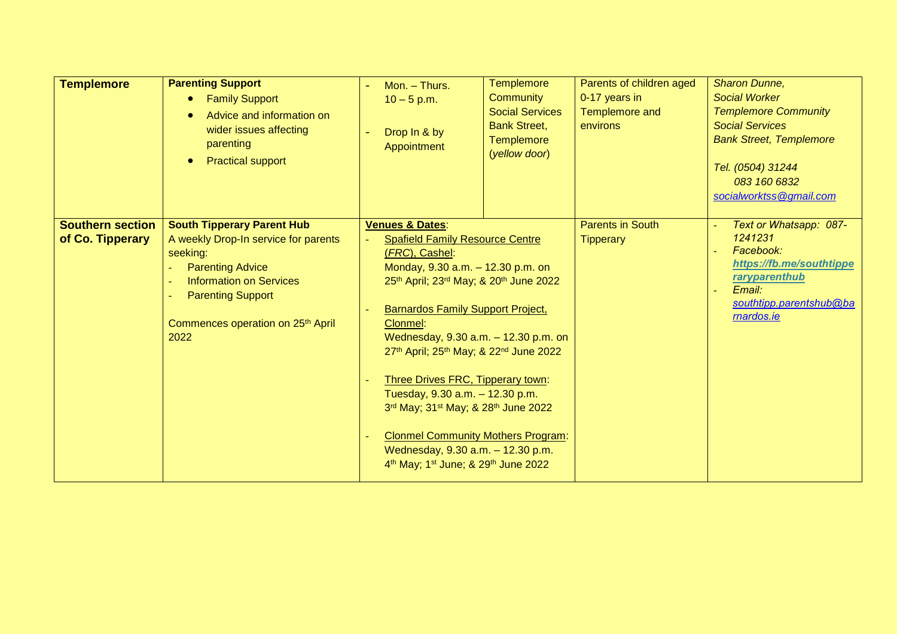| <b>Templemore</b>                           | <b>Parenting Support</b><br><b>Family Support</b><br>۰<br>Advice and information on<br>$\bullet$<br>wider issues affecting<br>parenting<br><b>Practical support</b><br>$\bullet$                                                        | Mon. - Thurs.<br>$10 - 5$ p.m.<br>Drop In & by<br>Appointment                                                                                                                                                                                                                                                                                                                                                                                                                                                                                                                                                       | <b>Templemore</b><br><b>Community</b><br><b>Social Services</b><br><b>Bank Street,</b><br><b>Templemore</b><br>(yellow door) | Parents of children aged<br>0-17 years in<br>Templemore and<br>environs | Sharon Dunne,<br><b>Social Worker</b><br><b>Templemore Community</b><br><b>Social Services</b><br><b>Bank Street, Templemore</b><br>Tel. (0504) 31244<br>083 160 6832<br>socialworktss@gmail.com |
|---------------------------------------------|-----------------------------------------------------------------------------------------------------------------------------------------------------------------------------------------------------------------------------------------|---------------------------------------------------------------------------------------------------------------------------------------------------------------------------------------------------------------------------------------------------------------------------------------------------------------------------------------------------------------------------------------------------------------------------------------------------------------------------------------------------------------------------------------------------------------------------------------------------------------------|------------------------------------------------------------------------------------------------------------------------------|-------------------------------------------------------------------------|--------------------------------------------------------------------------------------------------------------------------------------------------------------------------------------------------|
| <b>Southern section</b><br>of Co. Tipperary | <b>South Tipperary Parent Hub</b><br>A weekly Drop-In service for parents<br>seeking:<br><b>Parenting Advice</b><br><b>Information on Services</b><br><b>Parenting Support</b><br>Commences operation on 25 <sup>th</sup> April<br>2022 | <b>Venues &amp; Dates:</b><br><b>Spafield Family Resource Centre</b><br>(FRC), Cashel:<br>Monday, 9.30 a.m. - 12.30 p.m. on<br>25th April; 23rd May; & 20th June 2022<br><b>Barnardos Family Support Project,</b><br>Clonmel:<br>Wednesday, 9.30 a.m. - 12.30 p.m. on<br>27th April; 25th May; & 22nd June 2022<br>Three Drives FRC, Tipperary town:<br>Tuesday, 9.30 a.m. - 12.30 p.m.<br>3rd May; 31 <sup>st</sup> May; & 28 <sup>th</sup> June 2022<br><b>Clonmel Community Mothers Program:</b><br>Wednesday, 9.30 a.m. - 12.30 p.m.<br>4 <sup>th</sup> May; 1 <sup>st</sup> June; & 29 <sup>th</sup> June 2022 |                                                                                                                              | <b>Parents in South</b><br><b>Tipperary</b>                             | Text or Whatsapp: 087-<br>1241231<br>Facebook:<br>https://fb.me/southtippe<br>raryparenthub<br>Email:<br>southtipp.parentshub@ba<br>rnardos.ie                                                   |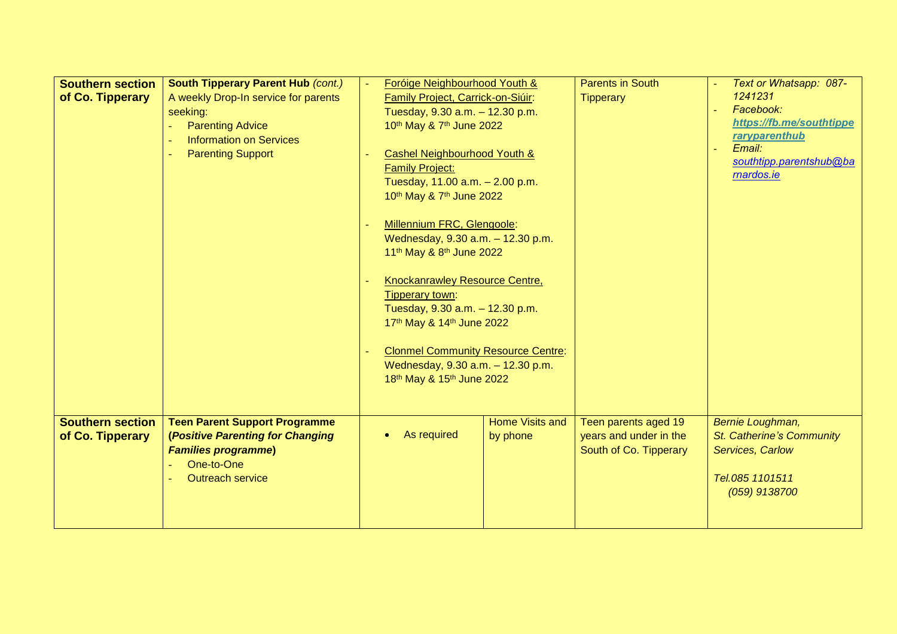| <b>Southern section</b><br>of Co. Tipperary | <b>South Tipperary Parent Hub (cont.)</b><br>A weekly Drop-In service for parents<br>seeking:<br><b>Parenting Advice</b><br><b>Information on Services</b><br><b>Parenting Support</b> | Foróige Neighbourhood Youth &<br>Family Project, Carrick-on-Siúir:<br>Tuesday, 9.30 a.m. - 12.30 p.m.<br>10th May & 7th June 2022<br>Cashel Neighbourhood Youth &<br><b>Family Project:</b><br>Tuesday, 11.00 a.m. - 2.00 p.m.<br>10th May & 7th June 2022<br>Millennium FRC, Glengoole:<br>Wednesday, 9.30 a.m. - 12.30 p.m.<br>11 <sup>th</sup> May & 8 <sup>th</sup> June 2022<br>Knockanrawley Resource Centre,<br>Tipperary town:<br>Tuesday, 9.30 a.m. - 12.30 p.m.<br>17th May & 14th June 2022<br><b>Clonmel Community Resource Centre:</b><br>Wednesday, 9.30 a.m. - 12.30 p.m.<br>18th May & 15th June 2022 |                                    | <b>Parents in South</b><br><b>Tipperary</b>                              | Text or Whatsapp: 087-<br>1241231<br>Facebook:<br>https://fb.me/southtippe<br>raryparenthub<br>Email:<br>southtipp.parentshub@ba<br>rnardos.ie |
|---------------------------------------------|----------------------------------------------------------------------------------------------------------------------------------------------------------------------------------------|-----------------------------------------------------------------------------------------------------------------------------------------------------------------------------------------------------------------------------------------------------------------------------------------------------------------------------------------------------------------------------------------------------------------------------------------------------------------------------------------------------------------------------------------------------------------------------------------------------------------------|------------------------------------|--------------------------------------------------------------------------|------------------------------------------------------------------------------------------------------------------------------------------------|
| <b>Southern section</b><br>of Co. Tipperary | <b>Teen Parent Support Programme</b><br>(Positive Parenting for Changing<br><b>Families programme)</b><br>One-to-One<br><b>Outreach service</b>                                        | As required                                                                                                                                                                                                                                                                                                                                                                                                                                                                                                                                                                                                           | <b>Home Visits and</b><br>by phone | Teen parents aged 19<br>years and under in the<br>South of Co. Tipperary | Bernie Loughman,<br>St. Catherine's Community<br>Services, Carlow<br>Tel.085 1101511<br>(059) 9138700                                          |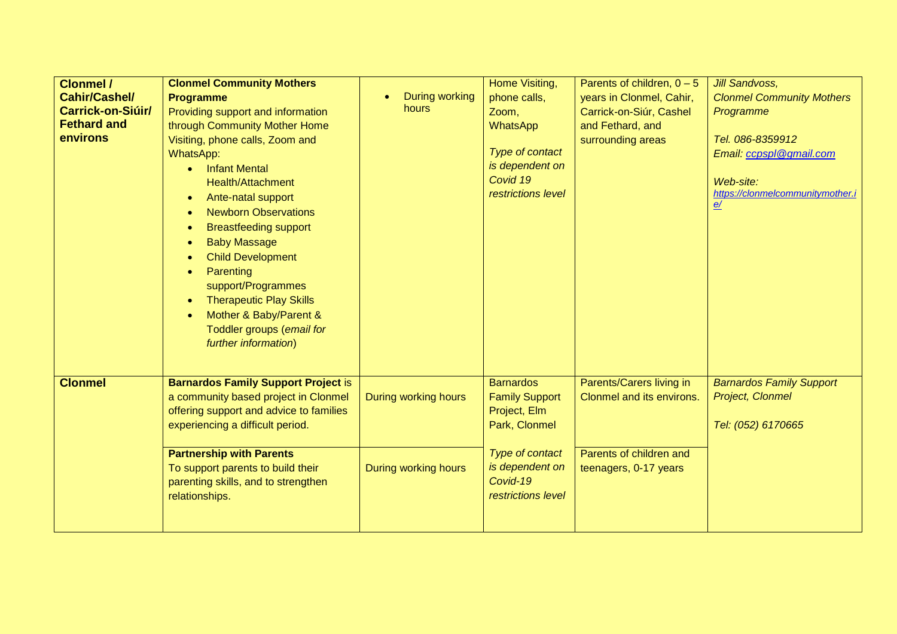| <b>Clonmel /</b>     | <b>Clonmel Community Mothers</b>            |                       | Home Visiting,        | Parents of children, $0 - 5$ | <b>Jill Sandvoss,</b>            |
|----------------------|---------------------------------------------|-----------------------|-----------------------|------------------------------|----------------------------------|
| <b>Cahir/Cashel/</b> | <b>Programme</b>                            | <b>During working</b> | phone calls,          | years in Clonmel, Cahir,     | <b>Clonmel Community Mothers</b> |
| Carrick-on-Siúir/    | Providing support and information           | hours                 | Zoom,                 | Carrick-on-Siúr, Cashel      | Programme                        |
| <b>Fethard and</b>   | through Community Mother Home               |                       | <b>WhatsApp</b>       | and Fethard, and             |                                  |
| environs             | Visiting, phone calls, Zoom and             |                       |                       | surrounding areas            | Tel. 086-8359912                 |
|                      | WhatsApp:                                   |                       | Type of contact       |                              | Email: ccpspl@gmail.com          |
|                      | <b>Infant Mental</b><br>$\bullet$           |                       | is dependent on       |                              |                                  |
|                      | <b>Health/Attachment</b>                    |                       | Covid 19              |                              | Web-site:                        |
|                      | Ante-natal support<br>$\bullet$             |                       | restrictions level    |                              | https://clonmelcommunitymother.i |
|                      | <b>Newborn Observations</b><br>$\bullet$    |                       |                       |                              | <u>e/</u>                        |
|                      | <b>Breastfeeding support</b><br>$\bullet$   |                       |                       |                              |                                  |
|                      | <b>Baby Massage</b><br>$\bullet$            |                       |                       |                              |                                  |
|                      | <b>Child Development</b><br>$\bullet$       |                       |                       |                              |                                  |
|                      | Parenting<br>$\bullet$                      |                       |                       |                              |                                  |
|                      | support/Programmes                          |                       |                       |                              |                                  |
|                      | <b>Therapeutic Play Skills</b><br>$\bullet$ |                       |                       |                              |                                  |
|                      | Mother & Baby/Parent &<br>$\bullet$         |                       |                       |                              |                                  |
|                      | Toddler groups (email for                   |                       |                       |                              |                                  |
|                      | further information)                        |                       |                       |                              |                                  |
|                      |                                             |                       |                       |                              |                                  |
|                      |                                             |                       |                       |                              |                                  |
| <b>Clonmel</b>       | <b>Barnardos Family Support Project is</b>  |                       | <b>Barnardos</b>      | Parents/Carers living in     | <b>Barnardos Family Support</b>  |
|                      | a community based project in Clonmel        | During working hours  | <b>Family Support</b> | Clonmel and its environs.    | Project, Clonmel                 |
|                      | offering support and advice to families     |                       | Project, Elm          |                              |                                  |
|                      | experiencing a difficult period.            |                       | Park, Clonmel         |                              | Tel: (052) 6170665               |
|                      | <b>Partnership with Parents</b>             |                       | Type of contact       | Parents of children and      |                                  |
|                      | To support parents to build their           | During working hours  | is dependent on       | teenagers, 0-17 years        |                                  |
|                      | parenting skills, and to strengthen         |                       | Covid-19              |                              |                                  |
|                      | relationships.                              |                       | restrictions level    |                              |                                  |
|                      |                                             |                       |                       |                              |                                  |
|                      |                                             |                       |                       |                              |                                  |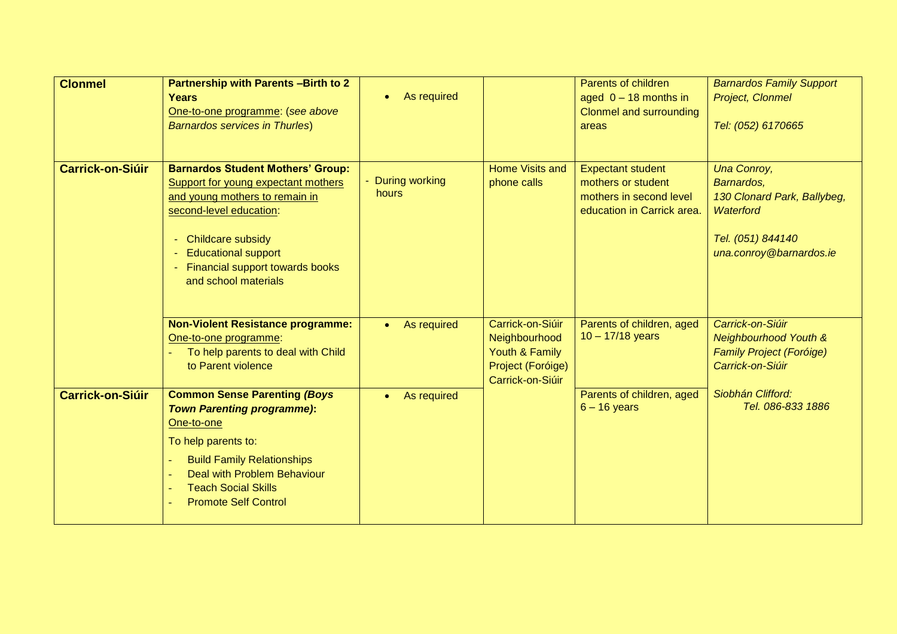| <b>Clonmel</b>          | <b>Partnership with Parents-Birth to 2</b><br>Years<br>One-to-one programme: (see above<br><b>Barnardos services in Thurles)</b>                                                                                                                                  | As required              |                                                                                              | Parents of children<br>aged $0 - 18$ months in<br>Clonmel and surrounding<br>areas                      | <b>Barnardos Family Support</b><br><b>Project, Clonmel</b><br>Tel: (052) 6170665                                      |
|-------------------------|-------------------------------------------------------------------------------------------------------------------------------------------------------------------------------------------------------------------------------------------------------------------|--------------------------|----------------------------------------------------------------------------------------------|---------------------------------------------------------------------------------------------------------|-----------------------------------------------------------------------------------------------------------------------|
| <b>Carrick-on-Siúir</b> | <b>Barnardos Student Mothers' Group:</b><br>Support for young expectant mothers<br>and young mothers to remain in<br>second-level education:<br><b>Childcare subsidy</b><br><b>Educational support</b><br>Financial support towards books<br>and school materials | During working<br>hours  | Home Visits and<br>phone calls                                                               | <b>Expectant student</b><br>mothers or student<br>mothers in second level<br>education in Carrick area. | Una Conroy,<br>Barnardos,<br>130 Clonard Park, Ballybeg,<br>Waterford<br>Tel. (051) 844140<br>una.conroy@barnardos.ie |
|                         | <b>Non-Violent Resistance programme:</b><br>One-to-one programme:<br>To help parents to deal with Child<br>to Parent violence                                                                                                                                     | As required<br>$\bullet$ | Carrick-on-Siúir<br>Neighbourhood<br>Youth & Family<br>Project (Foróige)<br>Carrick-on-Siúir | Parents of children, aged<br>$10 - 17/18$ years                                                         | Carrick-on-Siúir<br><b>Neighbourhood Youth &amp;</b><br><b>Family Project (Foróige)</b><br>Carrick-on-Siúir           |
| <b>Carrick-on-Siúir</b> | <b>Common Sense Parenting (Boys</b><br><b>Town Parenting programme):</b><br>One-to-one<br>To help parents to:<br><b>Build Family Relationships</b><br>Deal with Problem Behaviour<br><b>Teach Social Skills</b><br><b>Promote Self Control</b>                    | As required<br>$\bullet$ |                                                                                              | Parents of children, aged<br>$6 - 16$ years                                                             | Siobhán Clifford:<br>Tel. 086-833 1886                                                                                |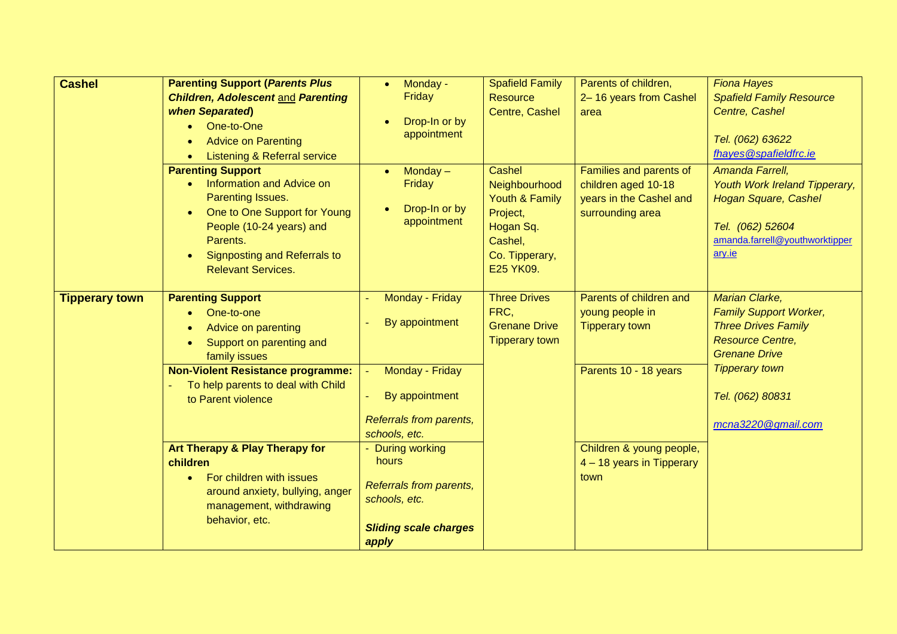| <b>Cashel</b><br><b>Parenting Support (Parents Plus</b><br><b>Children, Adolescent and Parenting</b><br>when Separated)<br>One-to-One<br><b>Advice on Parenting</b><br>$\bullet$<br><b>Listening &amp; Referral service</b><br>$\bullet$<br><b>Parenting Support</b><br>Information and Advice on<br>$\bullet$<br>Parenting Issues.<br>One to One Support for Young<br>$\bullet$<br>People (10-24 years) and<br>Parents.<br><b>Signposting and Referrals to</b><br>$\bullet$<br><b>Relevant Services.</b> | Monday -<br>$\bullet$<br>Friday<br>Drop-In or by<br>appointment<br>$Monday -$<br>$\bullet$<br>Friday<br>Drop-In or by<br>$\bullet$<br>appointment                                                                                    | <b>Spafield Family</b><br><b>Resource</b><br>Centre, Cashel<br><b>Cashel</b><br>Neighbourhood<br>Youth & Family<br>Project,<br>Hogan Sq.<br>Cashel,<br>Co. Tipperary,<br>E25 YK09. | Parents of children,<br>2-16 years from Cashel<br>area<br>Families and parents of<br>children aged 10-18<br>years in the Cashel and<br>surrounding area       | <b>Fiona Hayes</b><br><b>Spafield Family Resource</b><br>Centre, Cashel<br>Tel. (062) 63622<br>fhayes@spafieldfrc.ie<br>Amanda Farrell,<br>Youth Work Ireland Tipperary,<br><b>Hogan Square, Cashel</b><br>Tel. (062) 52604<br>amanda.farrell@youthworktipper<br>ary.ie |
|-----------------------------------------------------------------------------------------------------------------------------------------------------------------------------------------------------------------------------------------------------------------------------------------------------------------------------------------------------------------------------------------------------------------------------------------------------------------------------------------------------------|--------------------------------------------------------------------------------------------------------------------------------------------------------------------------------------------------------------------------------------|------------------------------------------------------------------------------------------------------------------------------------------------------------------------------------|---------------------------------------------------------------------------------------------------------------------------------------------------------------|-------------------------------------------------------------------------------------------------------------------------------------------------------------------------------------------------------------------------------------------------------------------------|
| <b>Parenting Support</b><br><b>Tipperary town</b><br>One-to-one<br>Advice on parenting<br>Support on parenting and<br>$\bullet$<br>family issues<br><b>Non-Violent Resistance programme:</b><br>To help parents to deal with Child<br>to Parent violence<br>Art Therapy & Play Therapy for<br>children<br>For children with issues<br>$\bullet$<br>around anxiety, bullying, anger<br>management, withdrawing<br>behavior, etc.                                                                           | Monday - Friday<br>By appointment<br>Monday - Friday<br>By appointment<br>Referrals from parents,<br>schools, etc.<br>- During working<br>hours<br>Referrals from parents,<br>schools, etc.<br><b>Sliding scale charges</b><br>apply | <b>Three Drives</b><br>FRC,<br><b>Grenane Drive</b><br><b>Tipperary town</b>                                                                                                       | Parents of children and<br>young people in<br><b>Tipperary town</b><br>Parents 10 - 18 years<br>Children & young people,<br>4 - 18 years in Tipperary<br>town | Marian Clarke,<br><b>Family Support Worker,</b><br><b>Three Drives Family</b><br><b>Resource Centre,</b><br><b>Grenane Drive</b><br><b>Tipperary town</b><br>Tel. (062) 80831<br>mcna3220@gmail.com                                                                     |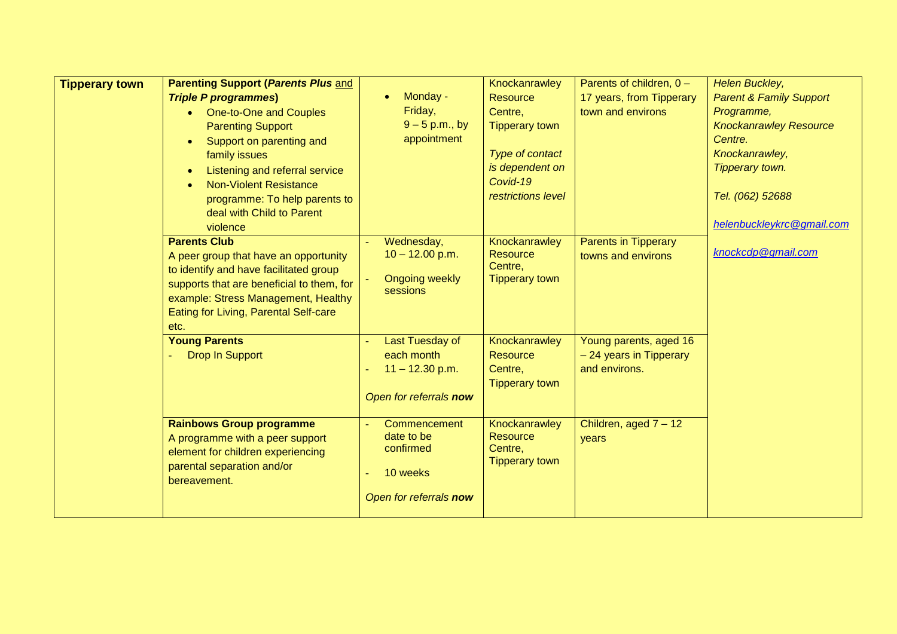| <b>Tipperary town</b> | <b>Parenting Support (Parents Plus and</b>  |                         | Knockanrawley              | Parents of children, $0 -$  | Helen Buckley,                     |
|-----------------------|---------------------------------------------|-------------------------|----------------------------|-----------------------------|------------------------------------|
|                       | <b>Triple P programmes)</b>                 | Monday -<br>$\bullet$   | <b>Resource</b>            | 17 years, from Tipperary    | <b>Parent &amp; Family Support</b> |
|                       | One-to-One and Couples<br>$\bullet$         | Friday,                 | Centre,                    | town and environs           | Programme,                         |
|                       | <b>Parenting Support</b>                    | $9 - 5$ p.m., by        | <b>Tipperary town</b>      |                             | <b>Knockanrawley Resource</b>      |
|                       | Support on parenting and<br>$\bullet$       | appointment             |                            |                             | Centre.                            |
|                       | family issues                               |                         | Type of contact            |                             | Knockanrawley,                     |
|                       | Listening and referral service<br>$\bullet$ |                         | is dependent on            |                             | Tipperary town.                    |
|                       | <b>Non-Violent Resistance</b><br>$\bullet$  |                         | Covid-19                   |                             |                                    |
|                       | programme: To help parents to               |                         | restrictions level         |                             | Tel. (062) 52688                   |
|                       | deal with Child to Parent                   |                         |                            |                             |                                    |
|                       | violence                                    |                         |                            |                             | helenbuckleykrc@gmail.com          |
|                       | <b>Parents Club</b>                         | Wednesday,              | Knockanrawley              | <b>Parents in Tipperary</b> |                                    |
|                       | A peer group that have an opportunity       | $10 - 12.00$ p.m.       | <b>Resource</b>            | towns and environs          | knockcdp@gmail.com                 |
|                       | to identify and have facilitated group      |                         | Centre,                    |                             |                                    |
|                       | supports that are beneficial to them, for   | <b>Ongoing weekly</b>   | <b>Tipperary town</b>      |                             |                                    |
|                       | example: Stress Management, Healthy         | sessions                |                            |                             |                                    |
|                       | Eating for Living, Parental Self-care       |                         |                            |                             |                                    |
|                       | etc.                                        |                         |                            |                             |                                    |
|                       | <b>Young Parents</b>                        | Last Tuesday of         | Knockanrawley              | Young parents, aged 16      |                                    |
|                       | <b>Drop In Support</b>                      | each month              | <b>Resource</b>            | - 24 years in Tipperary     |                                    |
|                       |                                             | $11 - 12.30$ p.m.       | Centre,                    | and environs.               |                                    |
|                       |                                             |                         | <b>Tipperary town</b>      |                             |                                    |
|                       |                                             | Open for referrals now  |                            |                             |                                    |
|                       |                                             |                         |                            |                             |                                    |
|                       | <b>Rainbows Group programme</b>             | Commencement            | Knockanrawley              | Children, aged 7 - 12       |                                    |
|                       | A programme with a peer support             | date to be<br>confirmed | <b>Resource</b><br>Centre, | years                       |                                    |
|                       | element for children experiencing           |                         | <b>Tipperary town</b>      |                             |                                    |
|                       | parental separation and/or                  | 10 weeks                |                            |                             |                                    |
|                       | bereavement.                                |                         |                            |                             |                                    |
|                       |                                             | Open for referrals now  |                            |                             |                                    |
|                       |                                             |                         |                            |                             |                                    |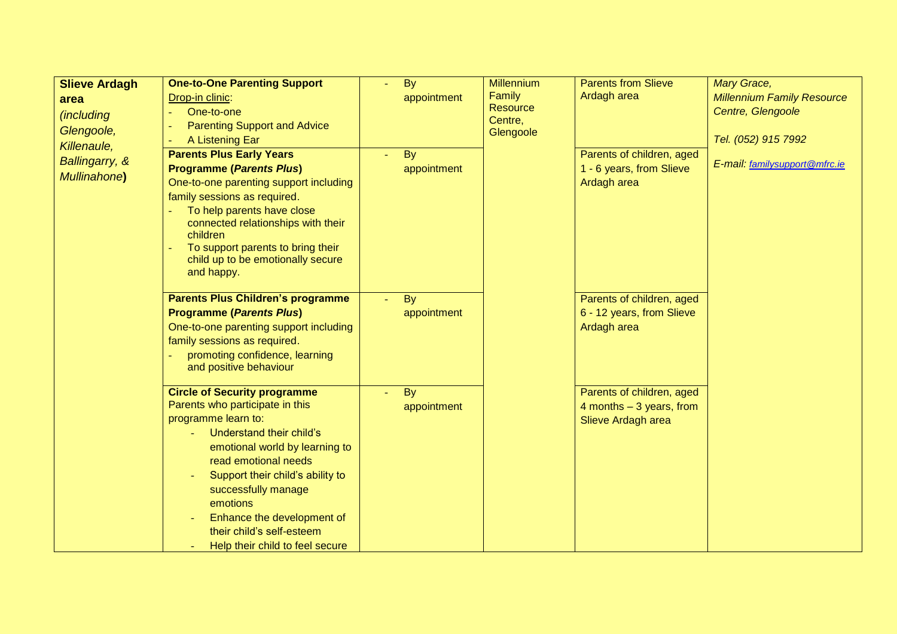| <b>Slieve Ardagh</b> | <b>One-to-One Parenting Support</b>             | By          | <b>Millennium</b> | <b>Parents from Slieve</b>  | <b>Mary Grace,</b>                |
|----------------------|-------------------------------------------------|-------------|-------------------|-----------------------------|-----------------------------------|
| area                 | Drop-in clinic:                                 | appointment | Family            | Ardagh area                 | <b>Millennium Family Resource</b> |
| <i>(including</i>    | One-to-one                                      |             | <b>Resource</b>   |                             | Centre, Glengoole                 |
| Glengoole,           | <b>Parenting Support and Advice</b>             |             | Centre,           | Parents of children, aged   |                                   |
| Killenaule,          | A Listening Ear                                 |             | Glengoole         |                             | Tel. (052) 915 7992               |
|                      | <b>Parents Plus Early Years</b>                 | <b>By</b>   |                   |                             |                                   |
| Ballingarry, &       | <b>Programme (Parents Plus)</b>                 | appointment |                   | 1 - 6 years, from Slieve    | E-mail: familysupport@mfrc.ie     |
| Mullinahone)         | One-to-one parenting support including          |             |                   | Ardagh area                 |                                   |
|                      | family sessions as required.                    |             |                   |                             |                                   |
|                      | To help parents have close                      |             |                   |                             |                                   |
|                      | connected relationships with their              |             |                   |                             |                                   |
|                      | children                                        |             |                   |                             |                                   |
|                      | To support parents to bring their               |             |                   |                             |                                   |
|                      | child up to be emotionally secure<br>and happy. |             |                   |                             |                                   |
|                      |                                                 |             |                   |                             |                                   |
|                      | <b>Parents Plus Children's programme</b>        | By          |                   | Parents of children, aged   |                                   |
|                      | <b>Programme (Parents Plus)</b>                 | appointment |                   | 6 - 12 years, from Slieve   |                                   |
|                      | One-to-one parenting support including          |             |                   | Ardagh area                 |                                   |
|                      | family sessions as required.                    |             |                   |                             |                                   |
|                      | promoting confidence, learning                  |             |                   |                             |                                   |
|                      | and positive behaviour                          |             |                   |                             |                                   |
|                      |                                                 |             |                   |                             |                                   |
|                      | <b>Circle of Security programme</b>             | By          |                   | Parents of children, aged   |                                   |
|                      | Parents who participate in this                 | appointment |                   | $4$ months $-3$ years, from |                                   |
|                      | programme learn to:                             |             |                   | Slieve Ardagh area          |                                   |
|                      | Understand their child's                        |             |                   |                             |                                   |
|                      | emotional world by learning to                  |             |                   |                             |                                   |
|                      | read emotional needs                            |             |                   |                             |                                   |
|                      | Support their child's ability to                |             |                   |                             |                                   |
|                      | successfully manage                             |             |                   |                             |                                   |
|                      | emotions                                        |             |                   |                             |                                   |
|                      | Enhance the development of                      |             |                   |                             |                                   |
|                      | their child's self-esteem                       |             |                   |                             |                                   |
|                      | Help their child to feel secure                 |             |                   |                             |                                   |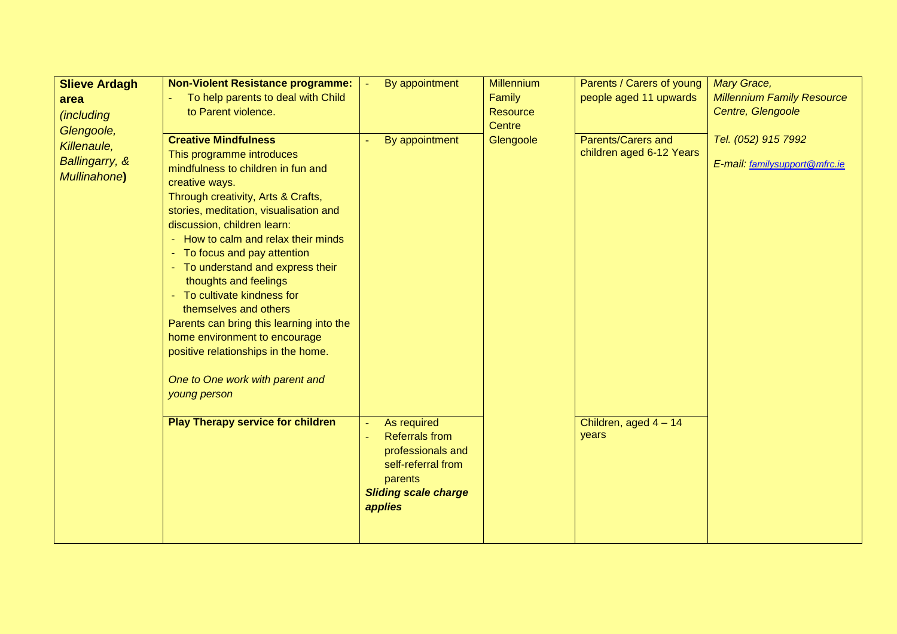| <b>Slieve Ardagh</b>                                                | <b>Non-Violent Resistance programme:</b>                                                                                                                                                                                                                                                                                                                                                                                                                                                                                                                                                                                                        | By appointment                                                                                                        | <b>Millennium</b>   | Parents / Carers of young                                                 | <b>Mary Grace,</b>                                   |
|---------------------------------------------------------------------|-------------------------------------------------------------------------------------------------------------------------------------------------------------------------------------------------------------------------------------------------------------------------------------------------------------------------------------------------------------------------------------------------------------------------------------------------------------------------------------------------------------------------------------------------------------------------------------------------------------------------------------------------|-----------------------------------------------------------------------------------------------------------------------|---------------------|---------------------------------------------------------------------------|------------------------------------------------------|
| area                                                                | To help parents to deal with Child                                                                                                                                                                                                                                                                                                                                                                                                                                                                                                                                                                                                              |                                                                                                                       | Family              | people aged 11 upwards                                                    | <b>Millennium Family Resource</b>                    |
| <i>(including</i>                                                   | to Parent violence.                                                                                                                                                                                                                                                                                                                                                                                                                                                                                                                                                                                                                             |                                                                                                                       | <b>Resource</b>     |                                                                           | Centre, Glengoole                                    |
| Glengoole,<br>Killenaule,<br>Ballingarry, &<br><b>Mullinahone</b> ) | <b>Creative Mindfulness</b><br>This programme introduces<br>mindfulness to children in fun and<br>creative ways.<br>Through creativity, Arts & Crafts,<br>stories, meditation, visualisation and<br>discussion, children learn:<br>- How to calm and relax their minds<br>- To focus and pay attention<br>- To understand and express their<br>thoughts and feelings<br>- To cultivate kindness for<br>themselves and others<br>Parents can bring this learning into the<br>home environment to encourage<br>positive relationships in the home.<br>One to One work with parent and<br>young person<br><b>Play Therapy service for children</b> | By appointment<br>As required                                                                                         | Centre<br>Glengoole | Parents/Carers and<br>children aged 6-12 Years<br>Children, aged $4 - 14$ | Tel. (052) 915 7992<br>E-mail: familysupport@mfrc.ie |
|                                                                     |                                                                                                                                                                                                                                                                                                                                                                                                                                                                                                                                                                                                                                                 | <b>Referrals from</b><br>professionals and<br>self-referral from<br>parents<br><b>Sliding scale charge</b><br>applies |                     | years                                                                     |                                                      |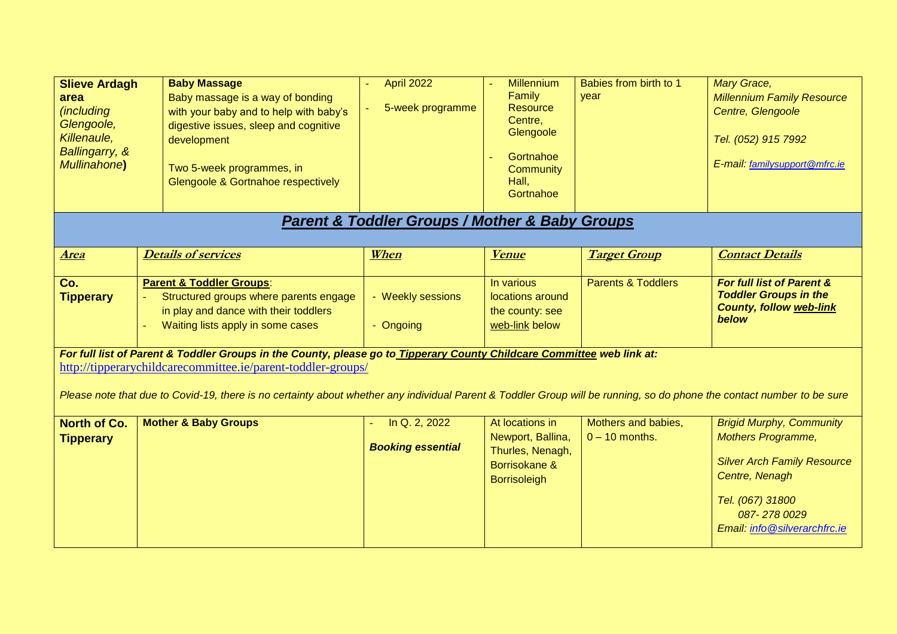| <b>Slieve Ardagh</b><br>area<br><i>(including</i><br>Glengoole,<br>Killenaule,<br>Ballingarry, &<br><b>Mullinahone</b> )                                                                                                                                                                                                                                         | <b>Baby Massage</b><br>Baby massage is a way of bonding<br>with your baby and to help with baby's<br>digestive issues, sleep and cognitive<br>development<br>Two 5-week programmes, in<br>Glengoole & Gortnahoe respectively | <b>April 2022</b><br>5-week programme<br><b>Parent &amp; Toddler Groups / Mother &amp; Baby Groups</b> | <b>Millennium</b><br>Family<br><b>Resource</b><br>Centre,<br>Glengoole<br>Gortnahoe<br>Community<br>Hall,<br>Gortnahoe | Babies from birth to 1<br>vear          | <b>Mary Grace,</b><br><b>Millennium Family Resource</b><br>Centre, Glengoole<br>Tel. (052) 915 7992<br>E-mail: familysupport@mfrc.ie                                                    |  |
|------------------------------------------------------------------------------------------------------------------------------------------------------------------------------------------------------------------------------------------------------------------------------------------------------------------------------------------------------------------|------------------------------------------------------------------------------------------------------------------------------------------------------------------------------------------------------------------------------|--------------------------------------------------------------------------------------------------------|------------------------------------------------------------------------------------------------------------------------|-----------------------------------------|-----------------------------------------------------------------------------------------------------------------------------------------------------------------------------------------|--|
|                                                                                                                                                                                                                                                                                                                                                                  |                                                                                                                                                                                                                              |                                                                                                        |                                                                                                                        |                                         |                                                                                                                                                                                         |  |
| <u>Area</u>                                                                                                                                                                                                                                                                                                                                                      | <b>Details of services</b>                                                                                                                                                                                                   | When                                                                                                   | <b>Venue</b>                                                                                                           | <b>Target Group</b>                     | <b>Contact Details</b>                                                                                                                                                                  |  |
| Co.<br><b>Tipperary</b>                                                                                                                                                                                                                                                                                                                                          | <b>Parent &amp; Toddler Groups:</b><br>Structured groups where parents engage<br>in play and dance with their toddlers<br>Waiting lists apply in some cases                                                                  | - Weekly sessions<br>- Ongoing                                                                         | In various<br>locations around<br>the county: see<br>web-link below                                                    | <b>Parents &amp; Toddlers</b>           | For full list of Parent &<br><b>Toddler Groups in the</b><br><b>County, follow web-link</b><br>below                                                                                    |  |
| For full list of Parent & Toddler Groups in the County, please go to Tipperary County Childcare Committee web link at:<br>http://tipperarychildcarecommittee.ie/parent-toddler-groups/<br>Please note that due to Covid-19, there is no certainty about whether any individual Parent & Toddler Group will be running, so do phone the contact number to be sure |                                                                                                                                                                                                                              |                                                                                                        |                                                                                                                        |                                         |                                                                                                                                                                                         |  |
| <b>North of Co.</b><br><b>Tipperary</b>                                                                                                                                                                                                                                                                                                                          | <b>Mother &amp; Baby Groups</b>                                                                                                                                                                                              | In Q. 2, 2022<br><b>Booking essential</b>                                                              | At locations in<br>Newport, Ballina,<br>Thurles, Nenagh,<br>Borrisokane &<br><b>Borrisoleigh</b>                       | Mothers and babies,<br>$0 - 10$ months. | <b>Brigid Murphy, Community</b><br><b>Mothers Programme,</b><br><b>Silver Arch Family Resource</b><br>Centre, Nenagh<br>Tel. (067) 31800<br>087-2780029<br>Email: info@silverarchfrc.ie |  |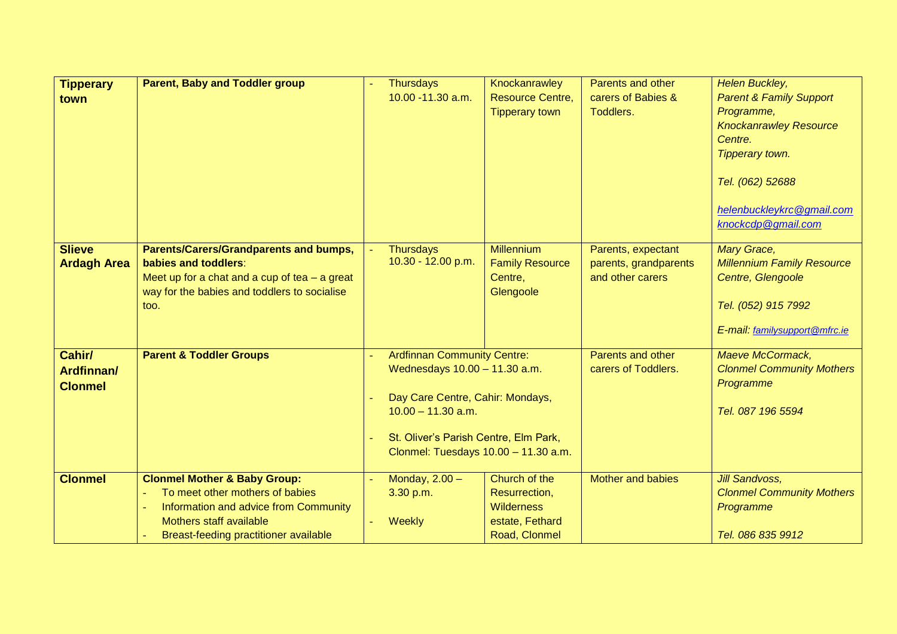| <b>Tipperary</b>   | <b>Parent, Baby and Toddler group</b>                | <b>Thursdays</b>                       | Knockanrawley           | Parents and other        | Helen Buckley,                           |
|--------------------|------------------------------------------------------|----------------------------------------|-------------------------|--------------------------|------------------------------------------|
| town               |                                                      | 10.00 - 11.30 a.m.                     | <b>Resource Centre,</b> | carers of Babies &       | <b>Parent &amp; Family Support</b>       |
|                    |                                                      |                                        | <b>Tipperary town</b>   | Toddlers.                | Programme,                               |
|                    |                                                      |                                        |                         |                          | <b>Knockanrawley Resource</b><br>Centre. |
|                    |                                                      |                                        |                         |                          | Tipperary town.                          |
|                    |                                                      |                                        |                         |                          |                                          |
|                    |                                                      |                                        |                         |                          | Tel. (062) 52688                         |
|                    |                                                      |                                        |                         |                          | helenbuckleykrc@gmail.com                |
|                    |                                                      |                                        |                         |                          | knockcdp@gmail.com                       |
|                    |                                                      |                                        |                         |                          |                                          |
| <b>Slieve</b>      | <b>Parents/Carers/Grandparents and bumps,</b>        | <b>Thursdays</b><br>10.30 - 12.00 p.m. | <b>Millennium</b>       | Parents, expectant       | Mary Grace,                              |
| <b>Ardagh Area</b> | babies and toddlers:                                 |                                        | <b>Family Resource</b>  | parents, grandparents    | <b>Millennium Family Resource</b>        |
|                    | Meet up for a chat and a cup of tea $-$ a great      |                                        | Centre,                 | and other carers         | Centre, Glengoole                        |
|                    | way for the babies and toddlers to socialise<br>too. |                                        | Glengoole               |                          | Tel. (052) 915 7992                      |
|                    |                                                      |                                        |                         |                          |                                          |
|                    |                                                      |                                        |                         |                          | E-mail: familysupport@mfrc.ie            |
| Cahir/             | <b>Parent &amp; Toddler Groups</b>                   | <b>Ardfinnan Community Centre:</b>     |                         | Parents and other        | Maeve McCormack,                         |
| Ardfinnan/         |                                                      | Wednesdays 10.00 - 11.30 a.m.          |                         | carers of Toddlers.      | <b>Clonmel Community Mothers</b>         |
| <b>Clonmel</b>     |                                                      |                                        |                         |                          | Programme                                |
|                    |                                                      | Day Care Centre, Cahir: Mondays,       |                         |                          |                                          |
|                    |                                                      | $10.00 - 11.30$ a.m.                   |                         |                          | Tel. 087 196 5594                        |
|                    |                                                      | St. Oliver's Parish Centre, Elm Park,  |                         |                          |                                          |
|                    |                                                      | Clonmel: Tuesdays 10.00 - 11.30 a.m.   |                         |                          |                                          |
|                    |                                                      |                                        |                         |                          |                                          |
| <b>Clonmel</b>     | <b>Clonmel Mother &amp; Baby Group:</b>              | Monday, $2.00 -$                       | Church of the           | <b>Mother and babies</b> | <b>Jill Sandvoss,</b>                    |
|                    | To meet other mothers of babies<br>$\equiv$          | 3.30 p.m.                              | Resurrection,           |                          | <b>Clonmel Community Mothers</b>         |
|                    | Information and advice from Community<br>$\equiv$    |                                        | <b>Wilderness</b>       |                          | Programme                                |
|                    | Mothers staff available                              | Weekly                                 | estate, Fethard         |                          |                                          |
|                    | Breast-feeding practitioner available                |                                        | Road, Clonmel           |                          | Tel. 086 835 9912                        |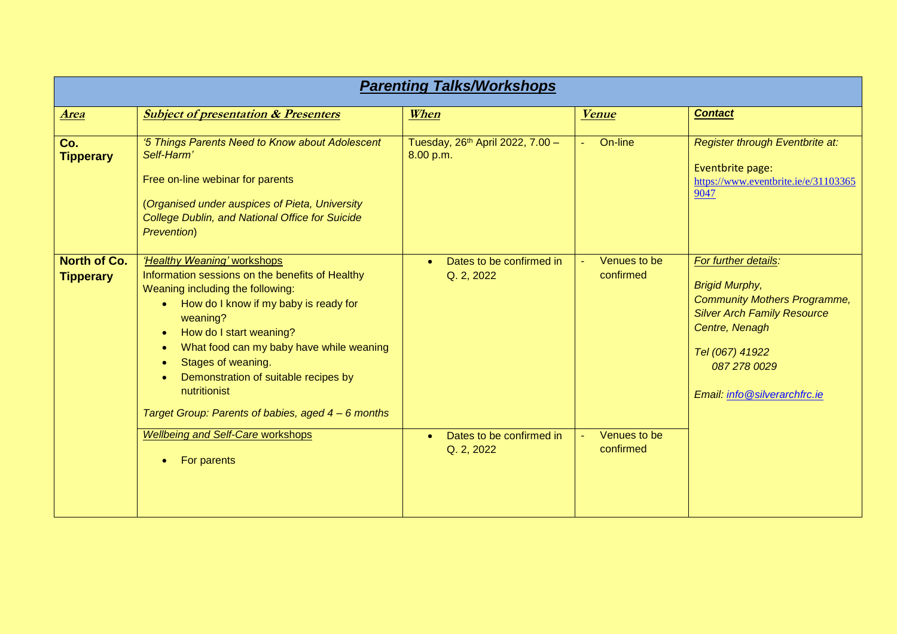| <b>Parenting Talks/Workshops</b>        |                                                                                                                                                                                                                                                                                                                                                                                                              |                                                           |                           |                                                                                                                                                                                                                 |  |  |
|-----------------------------------------|--------------------------------------------------------------------------------------------------------------------------------------------------------------------------------------------------------------------------------------------------------------------------------------------------------------------------------------------------------------------------------------------------------------|-----------------------------------------------------------|---------------------------|-----------------------------------------------------------------------------------------------------------------------------------------------------------------------------------------------------------------|--|--|
| <b>Area</b>                             | <b>Subject of presentation &amp; Presenters</b>                                                                                                                                                                                                                                                                                                                                                              | When                                                      | <b>Venue</b>              | <b>Contact</b>                                                                                                                                                                                                  |  |  |
| Co.<br><b>Tipperary</b>                 | '5 Things Parents Need to Know about Adolescent<br>Self-Harm'<br>Free on-line webinar for parents<br>(Organised under auspices of Pieta, University<br><b>College Dublin, and National Office for Suicide</b><br><b>Prevention</b> )                                                                                                                                                                         | Tuesday, 26 <sup>th</sup> April 2022, 7.00 -<br>8.00 p.m. | On-line                   | Register through Eventbrite at:<br>Eventbrite page:<br>https://www.eventbrite.ie/e/31103365<br>9047                                                                                                             |  |  |
| <b>North of Co.</b><br><b>Tipperary</b> | 'Healthy Weaning' workshops<br>Information sessions on the benefits of Healthy<br>Weaning including the following:<br>How do I know if my baby is ready for<br>$\bullet$<br>weaning?<br>How do I start weaning?<br>$\bullet$<br>What food can my baby have while weaning<br>Stages of weaning.<br>Demonstration of suitable recipes by<br>nutritionist<br>Target Group: Parents of babies, aged 4 – 6 months | Dates to be confirmed in<br>$\bullet$<br>Q. 2, 2022       | Venues to be<br>confirmed | For further details:<br><b>Brigid Murphy,</b><br><b>Community Mothers Programme,</b><br><b>Silver Arch Family Resource</b><br>Centre, Nenagh<br>Tel (067) 41922<br>087 278 0029<br>Email: info@silverarchfrc.ie |  |  |
|                                         | <b>Wellbeing and Self-Care workshops</b><br>For parents                                                                                                                                                                                                                                                                                                                                                      | Dates to be confirmed in<br>Q. 2, 2022                    | Venues to be<br>confirmed |                                                                                                                                                                                                                 |  |  |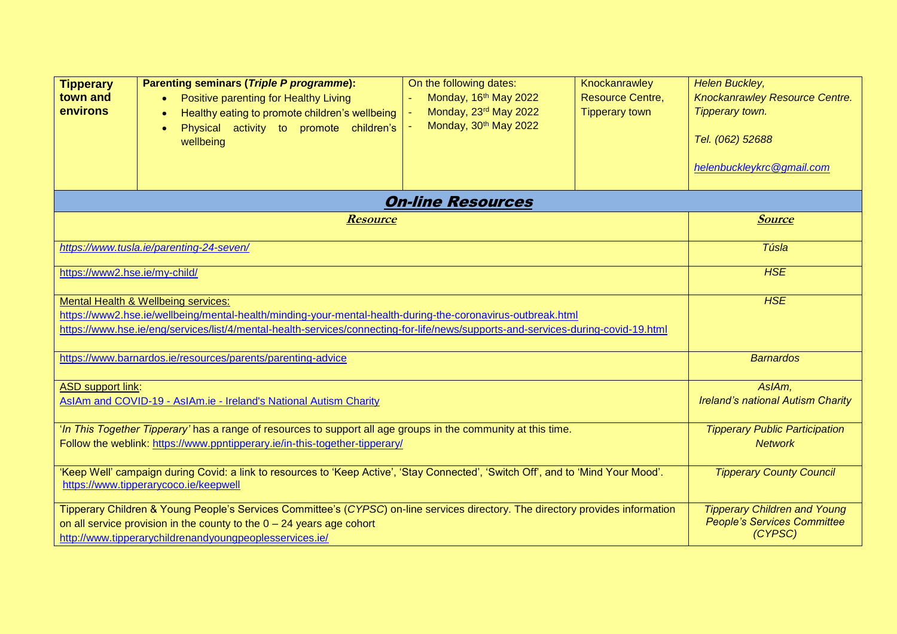| <b>Tipperary</b><br>town and<br>environs                                                                                                                                                                                                                                                | <b>Parenting seminars (Triple P programme):</b><br>Positive parenting for Healthy Living<br>$\bullet$<br>Healthy eating to promote children's wellbeing<br>Physical activity to promote children's<br>$\bullet$<br>wellbeing | On the following dates:<br>Monday, 16 <sup>th</sup> May 2022<br>Monday, 23rd May 2022<br>Monday, 30 <sup>th</sup> May 2022 | Knockanrawley<br><b>Resource Centre,</b><br><b>Tipperary town</b> | Helen Buckley,<br>Knockanrawley Resource Centre.<br>Tipperary town.<br>Tel. (062) 52688<br>helenbuckleykrc@gmail.com |
|-----------------------------------------------------------------------------------------------------------------------------------------------------------------------------------------------------------------------------------------------------------------------------------------|------------------------------------------------------------------------------------------------------------------------------------------------------------------------------------------------------------------------------|----------------------------------------------------------------------------------------------------------------------------|-------------------------------------------------------------------|----------------------------------------------------------------------------------------------------------------------|
|                                                                                                                                                                                                                                                                                         |                                                                                                                                                                                                                              | <b>On-line Resources</b>                                                                                                   |                                                                   |                                                                                                                      |
|                                                                                                                                                                                                                                                                                         | <b>Resource</b>                                                                                                                                                                                                              |                                                                                                                            |                                                                   | <b>Source</b>                                                                                                        |
|                                                                                                                                                                                                                                                                                         | https://www.tusla.ie/parenting-24-seven/                                                                                                                                                                                     |                                                                                                                            |                                                                   | Túsla                                                                                                                |
| https://www2.hse.ie/my-child/                                                                                                                                                                                                                                                           | <b>HSE</b>                                                                                                                                                                                                                   |                                                                                                                            |                                                                   |                                                                                                                      |
| Mental Health & Wellbeing services:<br>https://www2.hse.ie/wellbeing/mental-health/minding-your-mental-health-during-the-coronavirus-outbreak.html<br>https://www.hse.ie/eng/services/list/4/mental-health-services/connecting-for-life/news/supports-and-services-during-covid-19.html | <b>HSE</b>                                                                                                                                                                                                                   |                                                                                                                            |                                                                   |                                                                                                                      |
| https://www.barnardos.ie/resources/parents/parenting-advice                                                                                                                                                                                                                             |                                                                                                                                                                                                                              |                                                                                                                            |                                                                   | <b>Barnardos</b>                                                                                                     |
| <b>ASD support link:</b><br>AsIAm and COVID-19 - AsIAm.ie - Ireland's National Autism Charity                                                                                                                                                                                           |                                                                                                                                                                                                                              |                                                                                                                            |                                                                   | AslAm,<br><b>Ireland's national Autism Charity</b>                                                                   |
| 'In This Together Tipperary' has a range of resources to support all age groups in the community at this time.<br>Follow the weblink: https://www.ppntipperary.ie/in-this-together-tipperary/                                                                                           |                                                                                                                                                                                                                              |                                                                                                                            |                                                                   | <b>Tipperary Public Participation</b><br><b>Network</b>                                                              |
|                                                                                                                                                                                                                                                                                         | 'Keep Well' campaign during Covid: a link to resources to 'Keep Active', 'Stay Connected', 'Switch Off', and to 'Mind Your Mood'.<br>https://www.tipperarycoco.ie/keepwell                                                   |                                                                                                                            |                                                                   | <b>Tipperary County Council</b>                                                                                      |
| Tipperary Children & Young People's Services Committee's (CYPSC) on-line services directory. The directory provides information<br>on all service provision in the county to the $0 - 24$ years age cohort<br>http://www.tipperarychildrenandyoungpeoplesservices.ie/                   |                                                                                                                                                                                                                              |                                                                                                                            |                                                                   | <b>Tipperary Children and Young</b><br><b>People's Services Committee</b><br>(CYPSC)                                 |